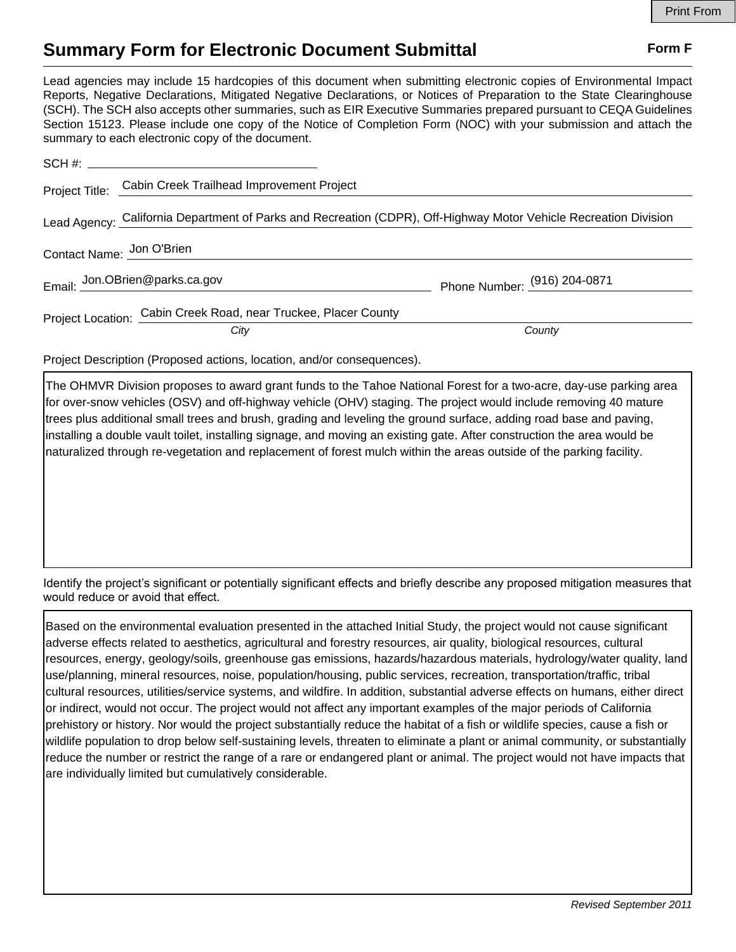## **Summary Form for Electronic Document Submittal Form F Form F**

Lead agencies may include 15 hardcopies of this document when submitting electronic copies of Environmental Impact Reports, Negative Declarations, Mitigated Negative Declarations, or Notices of Preparation to the State Clearinghouse (SCH). The SCH also accepts other summaries, such as EIR Executive Summaries prepared pursuant to CEQA Guidelines Section 15123. Please include one copy of the Notice of Completion Form (NOC) with your submission and attach the summary to each electronic copy of the document.

|                                                                                                                  | Project Title: Cabin Creek Trailhead Improvement Project        |                              |
|------------------------------------------------------------------------------------------------------------------|-----------------------------------------------------------------|------------------------------|
| Lead Agency: California Department of Parks and Recreation (CDPR), Off-Highway Motor Vehicle Recreation Division |                                                                 |                              |
| Contact Name: Jon O'Brien                                                                                        |                                                                 |                              |
|                                                                                                                  | Email: Jon.OBrien@parks.ca.gov                                  | Phone Number: (916) 204-0871 |
|                                                                                                                  | Project Location: Cabin Creek Road, near Truckee, Placer County |                              |
|                                                                                                                  | City                                                            | County                       |

Project Description (Proposed actions, location, and/or consequences).

The OHMVR Division proposes to award grant funds to the Tahoe National Forest for a two-acre, day-use parking area for over-snow vehicles (OSV) and off-highway vehicle (OHV) staging. The project would include removing 40 mature trees plus additional small trees and brush, grading and leveling the ground surface, adding road base and paving, installing a double vault toilet, installing signage, and moving an existing gate. After construction the area would be naturalized through re-vegetation and replacement of forest mulch within the areas outside of the parking facility.

Identify the project's significant or potentially significant effects and briefly describe any proposed mitigation measures that would reduce or avoid that effect.

Based on the environmental evaluation presented in the attached Initial Study, the project would not cause significant adverse effects related to aesthetics, agricultural and forestry resources, air quality, biological resources, cultural resources, energy, geology/soils, greenhouse gas emissions, hazards/hazardous materials, hydrology/water quality, land use/planning, mineral resources, noise, population/housing, public services, recreation, transportation/traffic, tribal cultural resources, utilities/service systems, and wildfire. In addition, substantial adverse effects on humans, either direct or indirect, would not occur. The project would not affect any important examples of the major periods of California prehistory or history. Nor would the project substantially reduce the habitat of a fish or wildlife species, cause a fish or wildlife population to drop below self-sustaining levels, threaten to eliminate a plant or animal community, or substantially reduce the number or restrict the range of a rare or endangered plant or animal. The project would not have impacts that are individually limited but cumulatively considerable.